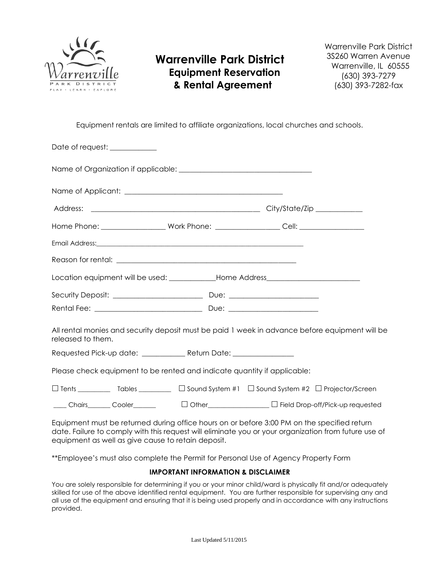

## **Warrenville Park District Equipment Reservation & Rental Agreement**

Warrenville Park District 3S260 Warren Avenue Warrenville, IL 60555 (630) 393-7279 (630) 393-7282-fax

Equipment rentals are limited to affiliate organizations, local churches and schools.

|                   | Date of request: ____________ |                                                                                                                                                                                                                                      |                                                                                                      |  |
|-------------------|-------------------------------|--------------------------------------------------------------------------------------------------------------------------------------------------------------------------------------------------------------------------------------|------------------------------------------------------------------------------------------------------|--|
|                   |                               |                                                                                                                                                                                                                                      |                                                                                                      |  |
|                   |                               |                                                                                                                                                                                                                                      |                                                                                                      |  |
|                   |                               |                                                                                                                                                                                                                                      |                                                                                                      |  |
|                   |                               |                                                                                                                                                                                                                                      | Home Phone: ______________________Work Phone: ____________________Cell: ____________________________ |  |
|                   |                               | Email Address: <u>contract and a series of the series of the series of the series of the series of the series of the series of the series of the series of the series of the series of the series of the series of the series of</u> |                                                                                                      |  |
|                   |                               |                                                                                                                                                                                                                                      |                                                                                                      |  |
|                   |                               |                                                                                                                                                                                                                                      | Location equipment will be used: ______________Home Address_____________________                     |  |
|                   |                               |                                                                                                                                                                                                                                      |                                                                                                      |  |
|                   |                               |                                                                                                                                                                                                                                      |                                                                                                      |  |
| released to them. |                               |                                                                                                                                                                                                                                      | All rental monies and security deposit must be paid 1 week in advance before equipment will be       |  |
|                   |                               | Requested Pick-up date: ______________ Return Date: _________________                                                                                                                                                                |                                                                                                      |  |
|                   |                               | Please check equipment to be rented and indicate quantity if applicable:                                                                                                                                                             |                                                                                                      |  |
|                   |                               |                                                                                                                                                                                                                                      |                                                                                                      |  |
|                   |                               |                                                                                                                                                                                                                                      |                                                                                                      |  |
|                   |                               |                                                                                                                                                                                                                                      |                                                                                                      |  |

Equipment must be returned during office hours on or before 3:00 PM on the specified return date. Failure to comply with this request will eliminate you or your organization from future use of equipment as well as give cause to retain deposit.

\*\*Employee's must also complete the Permit for Personal Use of Agency Property Form

## **IMPORTANT INFORMATION & DISCLAIMER**

You are solely responsible for determining if you or your minor child/ward is physically fit and/or adequately skilled for use of the above identified rental equipment. You are further responsible for supervising any and all use of the equipment and ensuring that it is being used properly and in accordance with any instructions provided.